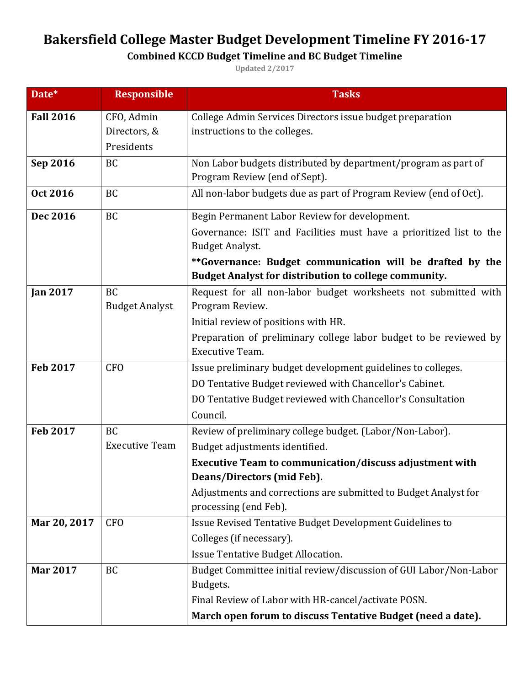## **Bakersfield College Master Budget Development Timeline FY 2016-17**

## **Combined KCCD Budget Timeline and BC Budget Timeline**

**Updated 2/2017**

| Date*            | <b>Responsible</b>    | <b>Tasks</b>                                                        |
|------------------|-----------------------|---------------------------------------------------------------------|
| <b>Fall 2016</b> | CFO, Admin            | College Admin Services Directors issue budget preparation           |
|                  | Directors, &          | instructions to the colleges.                                       |
|                  | Presidents            |                                                                     |
| Sep 2016         | <b>BC</b>             | Non Labor budgets distributed by department/program as part of      |
|                  |                       | Program Review (end of Sept).                                       |
| Oct 2016         | <b>BC</b>             | All non-labor budgets due as part of Program Review (end of Oct).   |
| Dec 2016         | BC                    | Begin Permanent Labor Review for development.                       |
|                  |                       | Governance: ISIT and Facilities must have a prioritized list to the |
|                  |                       | <b>Budget Analyst.</b>                                              |
|                  |                       | **Governance: Budget communication will be drafted by the           |
|                  |                       | Budget Analyst for distribution to college community.               |
| <b>Jan 2017</b>  | <b>BC</b>             | Request for all non-labor budget worksheets not submitted with      |
|                  | <b>Budget Analyst</b> | Program Review.                                                     |
|                  |                       | Initial review of positions with HR.                                |
|                  |                       | Preparation of preliminary college labor budget to be reviewed by   |
|                  |                       | <b>Executive Team.</b>                                              |
| <b>Feb 2017</b>  | <b>CFO</b>            | Issue preliminary budget development guidelines to colleges.        |
|                  |                       | DO Tentative Budget reviewed with Chancellor's Cabinet.             |
|                  |                       | DO Tentative Budget reviewed with Chancellor's Consultation         |
|                  |                       | Council.                                                            |
| <b>Feb 2017</b>  | <b>BC</b>             | Review of preliminary college budget. (Labor/Non-Labor).            |
|                  | <b>Executive Team</b> | Budget adjustments identified.                                      |
|                  |                       | Executive Team to communication/discuss adjustment with             |
|                  |                       | Deans/Directors (mid Feb).                                          |
|                  |                       | Adjustments and corrections are submitted to Budget Analyst for     |
|                  |                       | processing (end Feb).                                               |
| Mar 20, 2017     | <b>CFO</b>            | Issue Revised Tentative Budget Development Guidelines to            |
|                  |                       | Colleges (if necessary).                                            |
|                  |                       | Issue Tentative Budget Allocation.                                  |
| <b>Mar 2017</b>  | <b>BC</b>             | Budget Committee initial review/discussion of GUI Labor/Non-Labor   |
|                  |                       | Budgets.                                                            |
|                  |                       | Final Review of Labor with HR-cancel/activate POSN.                 |
|                  |                       | March open forum to discuss Tentative Budget (need a date).         |